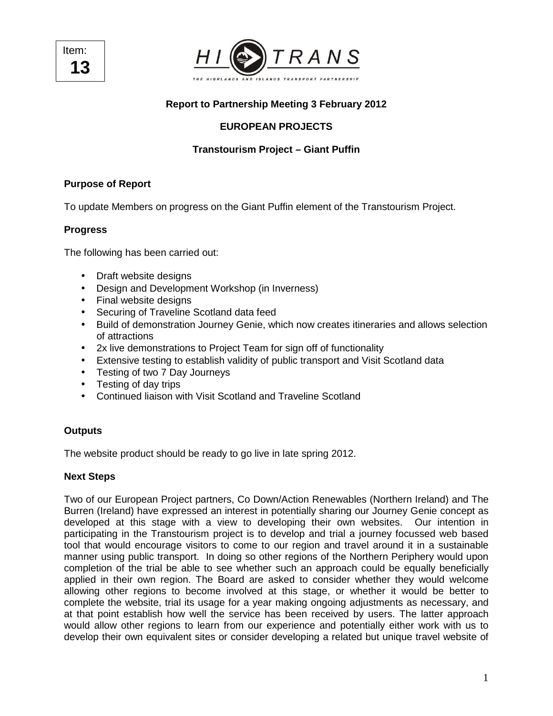Item: **13** 



# **Report to Partnership Meeting 3 February 2012**

# **EUROPEAN PROJECTS**

# **Transtourism Project – Giant Puffin**

## **Purpose of Report**

To update Members on progress on the Giant Puffin element of the Transtourism Project.

## **Progress**

The following has been carried out:

- Draft website designs
- Design and Development Workshop (in Inverness)
- Final website designs
- Securing of Traveline Scotland data feed
- Build of demonstration Journey Genie, which now creates itineraries and allows selection of attractions
- 2x live demonstrations to Project Team for sign off of functionality
- Extensive testing to establish validity of public transport and Visit Scotland data
- Testing of two 7 Day Journeys
- Testing of day trips
- Continued liaison with Visit Scotland and Traveline Scotland

## **Outputs**

The website product should be ready to go live in late spring 2012.

#### **Next Steps**

Two of our European Project partners, Co Down/Action Renewables (Northern Ireland) and The Burren (Ireland) have expressed an interest in potentially sharing our Journey Genie concept as developed at this stage with a view to developing their own websites. Our intention in participating in the Transtourism project is to develop and trial a journey focussed web based tool that would encourage visitors to come to our region and travel around it in a sustainable manner using public transport. In doing so other regions of the Northern Periphery would upon completion of the trial be able to see whether such an approach could be equally beneficially applied in their own region. The Board are asked to consider whether they would welcome allowing other regions to become involved at this stage, or whether it would be better to complete the website, trial its usage for a year making ongoing adjustments as necessary, and at that point establish how well the service has been received by users. The latter approach would allow other regions to learn from our experience and potentially either work with us to develop their own equivalent sites or consider developing a related but unique travel website of